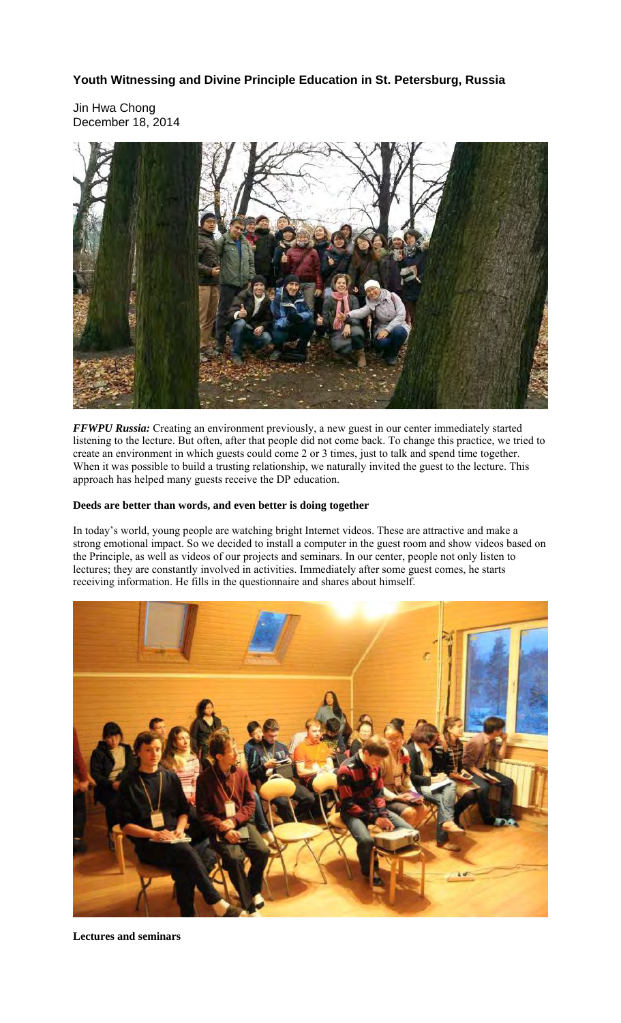## **Youth Witnessing and Divine Principle Education in St. Petersburg, Russia**

Jin Hwa Chong December 18, 2014



*FFWPU Russia:* Creating an environment previously, a new guest in our center immediately started listening to the lecture. But often, after that people did not come back. To change this practice, we tried to create an environment in which guests could come 2 or 3 times, just to talk and spend time together. When it was possible to build a trusting relationship, we naturally invited the guest to the lecture. This approach has helped many guests receive the DP education.

## **Deeds are better than words, and even better is doing together**

In today's world, young people are watching bright Internet videos. These are attractive and make a strong emotional impact. So we decided to install a computer in the guest room and show videos based on the Principle, as well as videos of our projects and seminars. In our center, people not only listen to lectures; they are constantly involved in activities. Immediately after some guest comes, he starts receiving information. He fills in the questionnaire and shares about himself.



**Lectures and seminars**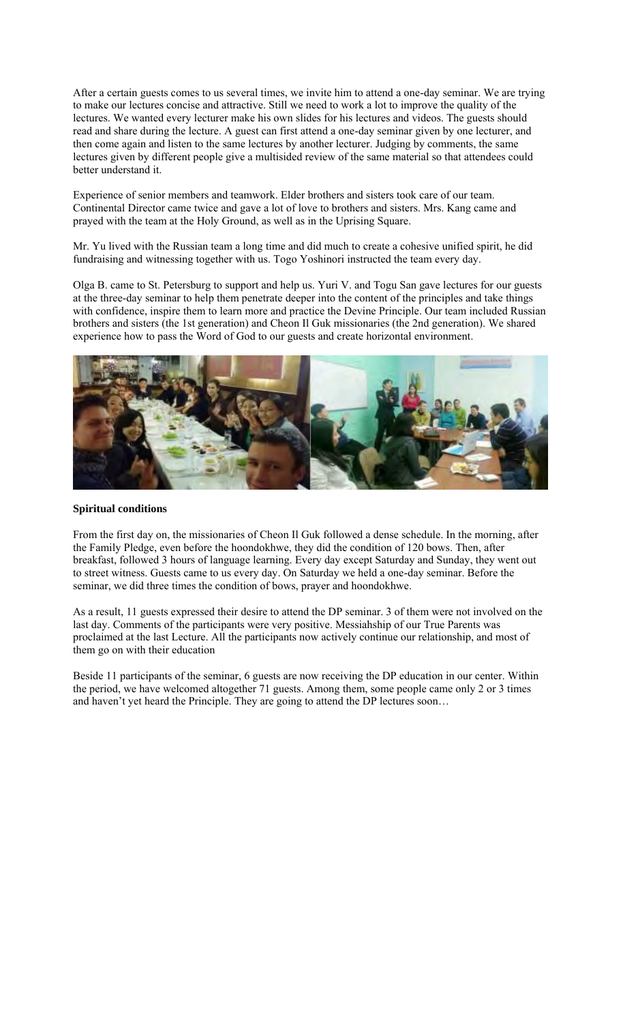After a certain guests comes to us several times, we invite him to attend a one-day seminar. We are trying to make our lectures concise and attractive. Still we need to work a lot to improve the quality of the lectures. We wanted every lecturer make his own slides for his lectures and videos. The guests should read and share during the lecture. A guest can first attend a one-day seminar given by one lecturer, and then come again and listen to the same lectures by another lecturer. Judging by comments, the same lectures given by different people give a multisided review of the same material so that attendees could better understand it.

Experience of senior members and teamwork. Elder brothers and sisters took care of our team. Continental Director came twice and gave a lot of love to brothers and sisters. Mrs. Kang came and prayed with the team at the Holy Ground, as well as in the Uprising Square.

Mr. Yu lived with the Russian team a long time and did much to create a cohesive unified spirit, he did fundraising and witnessing together with us. Togo Yoshinori instructed the team every day.

Olga B. came to St. Petersburg to support and help us. Yuri V. and Togu San gave lectures for our guests at the three-day seminar to help them penetrate deeper into the content of the principles and take things with confidence, inspire them to learn more and practice the Devine Principle. Our team included Russian brothers and sisters (the 1st generation) and Cheon Il Guk missionaries (the 2nd generation). We shared experience how to pass the Word of God to our guests and create horizontal environment.



## **Spiritual conditions**

From the first day on, the missionaries of Cheon Il Guk followed a dense schedule. In the morning, after the Family Pledge, even before the hoondokhwe, they did the condition of 120 bows. Then, after breakfast, followed 3 hours of language learning. Every day except Saturday and Sunday, they went out to street witness. Guests came to us every day. On Saturday we held a one-day seminar. Before the seminar, we did three times the condition of bows, prayer and hoondokhwe.

As a result, 11 guests expressed their desire to attend the DP seminar. 3 of them were not involved on the last day. Comments of the participants were very positive. Messiahship of our True Parents was proclaimed at the last Lecture. All the participants now actively continue our relationship, and most of them go on with their education

Beside 11 participants of the seminar, 6 guests are now receiving the DP education in our center. Within the period, we have welcomed altogether 71 guests. Among them, some people came only 2 or 3 times and haven't yet heard the Principle. They are going to attend the DP lectures soon…